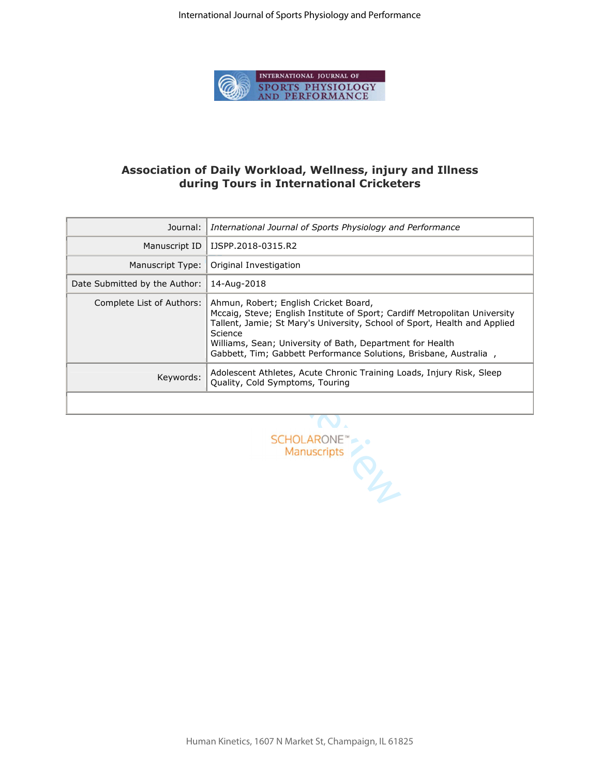

## **Association of Daily Workload, Wellness, injury and Illness during Tours in International Cricketers**

| Journal:                         | International Journal of Sports Physiology and Performance                                                                                                                                                                                                                                                                                    |  |  |  |  |
|----------------------------------|-----------------------------------------------------------------------------------------------------------------------------------------------------------------------------------------------------------------------------------------------------------------------------------------------------------------------------------------------|--|--|--|--|
| Manuscript ID                    | IJSPP.2018-0315.R2                                                                                                                                                                                                                                                                                                                            |  |  |  |  |
| Manuscript Type:                 | Original Investigation                                                                                                                                                                                                                                                                                                                        |  |  |  |  |
| Date Submitted by the Author:    | 14-Aug-2018                                                                                                                                                                                                                                                                                                                                   |  |  |  |  |
| Complete List of Authors:        | Ahmun, Robert; English Cricket Board,<br>Mccaig, Steve; English Institute of Sport; Cardiff Metropolitan University<br>Tallent, Jamie; St Mary's University, School of Sport, Health and Applied<br>Science<br>Williams, Sean; University of Bath, Department for Health<br>Gabbett, Tim; Gabbett Performance Solutions, Brisbane, Australia, |  |  |  |  |
| Keywords:                        | Adolescent Athletes, Acute Chronic Training Loads, Injury Risk, Sleep<br>Quality, Cold Symptoms, Touring                                                                                                                                                                                                                                      |  |  |  |  |
|                                  |                                                                                                                                                                                                                                                                                                                                               |  |  |  |  |
|                                  |                                                                                                                                                                                                                                                                                                                                               |  |  |  |  |
| <b>SCHOLARONE</b><br>Manuscripts |                                                                                                                                                                                                                                                                                                                                               |  |  |  |  |
|                                  |                                                                                                                                                                                                                                                                                                                                               |  |  |  |  |

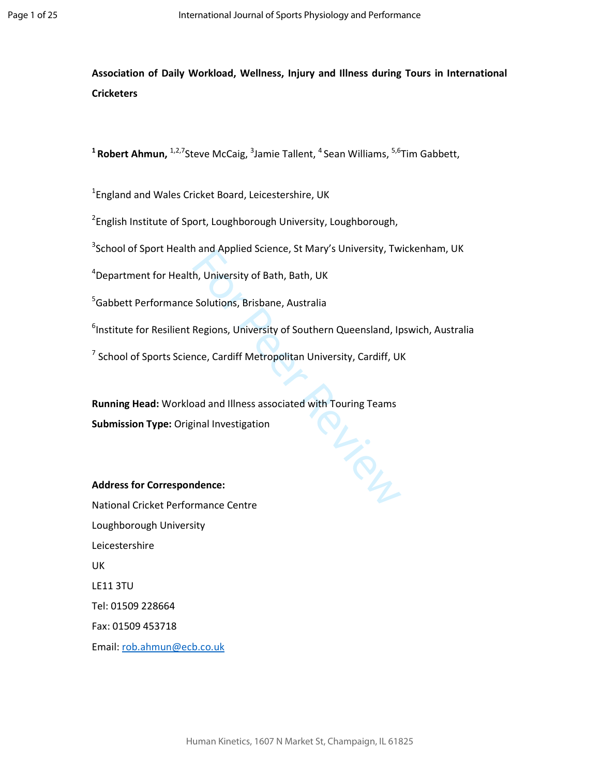**Association of Daily Workload, Wellness, Injury and Illness during Tours in International Cricketers** 

<sup>1</sup> Robert Ahmun, <sup>1,2,7</sup>Steve McCaig, <sup>3</sup>Jamie Tallent, <sup>4</sup> Sean Williams, <sup>5,6</sup>Tim Gabbett,

<sup>1</sup>England and Wales Cricket Board, Leicestershire, UK

<sup>2</sup>English Institute of Sport, Loughborough University, Loughborough,

 $3$ School of Sport Health and Applied Science, St Mary's University, Twickenham, UK

<sup>4</sup>Department for Health, University of Bath, Bath, UK

<sup>5</sup>Gabbett Performance Solutions, Brisbane, Australia

<sup>6</sup>Institute for Resilient Regions, University of Southern Queensland, Ipswich, Australia

 $^7$  School of Sports Science, Cardiff Metropolitan University, Cardiff, UK

IL-SOUL **Running Head:** Workload and Illness associated with Touring Teams **Submission Type:** Original Investigation

# **Address for Correspondence:**

National Cricket Performance Centre Loughborough University Leicestershire UK LE11 3TU Tel: 01509 228664 Fax: 01509 453718 Email: rob.ahmun@ecb.co.uk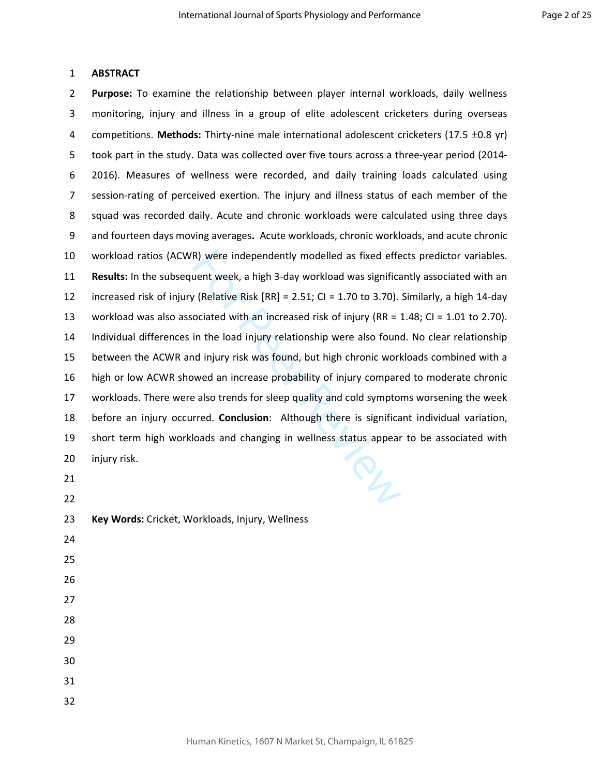### 1 **ABSTRACT**

R) were independently modelled as fixed efferent week, a high 3-day workload was significally (Relative Risk [RR] = 2.51; CI = 1.70 to 3.70). ociated with an increased risk of injury (RR =  $\frac{1}{2}$  in the load injury rel 2 **Purpose:** To examine the relationship between player internal workloads, daily wellness 3 monitoring, injury and illness in a group of elite adolescent cricketers during overseas 4 competitions. **Methods:** Thirty-nine male international adolescent cricketers (17.5 ±0.8 yr) 5 took part in the study. Data was collected over five tours across a three-year period (2014- 6 2016). Measures of wellness were recorded, and daily training loads calculated using 7 session-rating of perceived exertion. The injury and illness status of each member of the 8 squad was recorded daily. Acute and chronic workloads were calculated using three days 9 and fourteen days moving averages**.** Acute workloads, chronic workloads, and acute chronic 10 workload ratios (ACWR) were independently modelled as fixed effects predictor variables. 11 **Results:** In the subsequent week, a high 3-day workload was significantly associated with an 12 increased risk of injury (Relative Risk [RR] = 2.51; CI = 1.70 to 3.70). Similarly, a high 14-day 13 workload was also associated with an increased risk of injury (RR = 1.48; CI = 1.01 to 2.70). 14 Individual differences in the load injury relationship were also found. No clear relationship 15 between the ACWR and injury risk was found, but high chronic workloads combined with a 16 high or low ACWR showed an increase probability of injury compared to moderate chronic 17 workloads. There were also trends for sleep quality and cold symptoms worsening the week 18 before an injury occurred. **Conclusion**: Although there is significant individual variation, 19 short term high workloads and changing in wellness status appear to be associated with 20 injury risk.

 21 22 23 **Key Words:** Cricket, Workloads, Injury, Wellness 24 25 26 27 28 29 30 31 32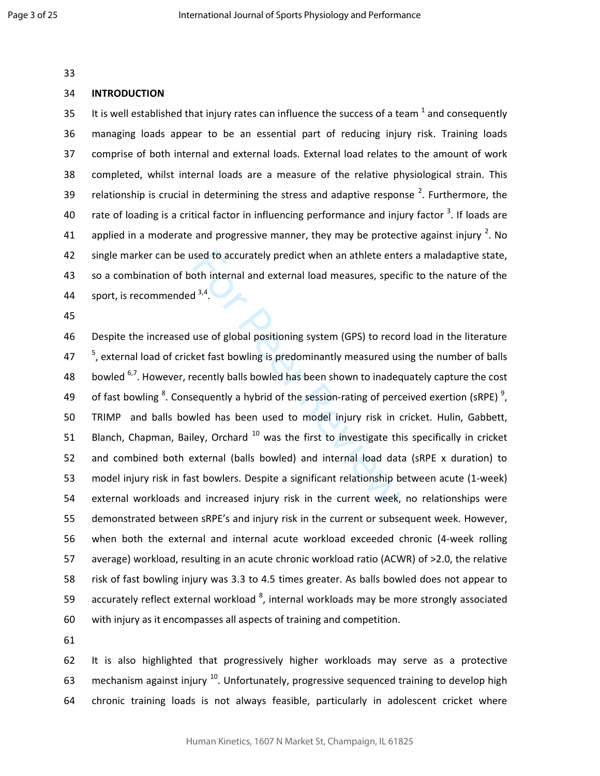33

#### 34 **INTRODUCTION**

35 It is well established that injury rates can influence the success of a team  $^1$  and consequently 36 managing loads appear to be an essential part of reducing injury risk. Training loads 37 comprise of both internal and external loads. External load relates to the amount of work 38 completed, whilst internal loads are a measure of the relative physiological strain. This 39 relationship is crucial in determining the stress and adaptive response  $2$ . Furthermore, the 40 arate of loading is a critical factor in influencing performance and injury factor  $3$ . If loads are 41 applied in a moderate and progressive manner, they may be protective against injury <sup>2</sup>. No 42 single marker can be used to accurately predict when an athlete enters a maladaptive state, 43 so a combination of both internal and external load measures, specific to the nature of the 44 sport, is recommended  $3,4$ .

45

ised to accurately predict when an athlete enterpth internal and external load measures, specintly and  $3^{3,4}$ .<br>
use of global positioning system (GPS) to reconsect fast bowling is predominantly measured use ecently balls 46 Despite the increased use of global positioning system (GPS) to record load in the literature  $17<sup>5</sup>$ , external load of cricket fast bowling is predominantly measured using the number of balls 48 bowled  $6,7$ . However, recently balls bowled has been shown to inadequately capture the cost 49 of fast bowling  $8$ . Consequently a hybrid of the session-rating of perceived exertion (sRPE)  $9$ , 50 TRIMP and balls bowled has been used to model injury risk in cricket. Hulin, Gabbett, 51 Blanch, Chapman, Bailey, Orchard  $10$  was the first to investigate this specifically in cricket 52 and combined both external (balls bowled) and internal load data (sRPE x duration) to 53 model injury risk in fast bowlers. Despite a significant relationship between acute (1-week) 54 external workloads and increased injury risk in the current week, no relationships were 55 demonstrated between sRPE's and injury risk in the current or subsequent week. However, 56 when both the external and internal acute workload exceeded chronic (4-week rolling 57 average) workload, resulting in an acute chronic workload ratio (ACWR) of >2.0, the relative 58 risk of fast bowling injury was 3.3 to 4.5 times greater. As balls bowled does not appear to 59 accurately reflect external workload  $^8$ , internal workloads may be more strongly associated 60 with injury as it encompasses all aspects of training and competition.

61

62 It is also highlighted that progressively higher workloads may serve as a protective 63 mechanism against injury  $^{10}$ . Unfortunately, progressive sequenced training to develop high 64 chronic training loads is not always feasible, particularly in adolescent cricket where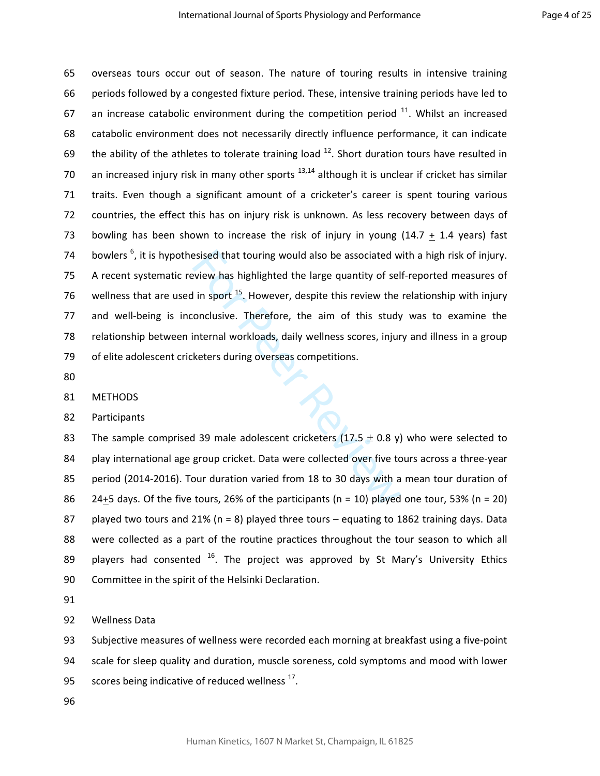Existed that touring would also be associated we<br>view has highlighted the large quantity of self in sport  $^{15}$ . However, despite this review the<br>conclusive. Therefore, the aim of this study<br>internal workloads, daily wel 65 overseas tours occur out of season. The nature of touring results in intensive training 66 periods followed by a congested fixture period. These, intensive training periods have led to 67 an increase catabolic environment during the competition period  $11$ . Whilst an increased 68 catabolic environment does not necessarily directly influence performance, it can indicate 69 the ability of the athletes to tolerate training load  $^{12}$ . Short duration tours have resulted in 70 an increased injury risk in many other sports  $13,14$  although it is unclear if cricket has similar 71 traits. Even though a significant amount of a cricketer's career is spent touring various 72 countries, the effect this has on injury risk is unknown. As less recovery between days of 73 bowling has been shown to increase the risk of injury in young  $(14.7 + 1.4$  years) fast 74 bowlers  $<sup>6</sup>$ , it is hypothesised that touring would also be associated with a high risk of injury.</sup> 75 A recent systematic review has highlighted the large quantity of self-reported measures of 76 wellness that are used in sport  $^{15}$ . However, despite this review the relationship with injury 77 and well-being is inconclusive. Therefore, the aim of this study was to examine the 78 relationship between internal workloads, daily wellness scores, injury and illness in a group 79 of elite adolescent cricketers during overseas competitions.

80

81 METHODS

82 Participants

83 The sample comprised 39 male adolescent cricketers (17.5  $\pm$  0.8 y) who were selected to 84 play international age group cricket. Data were collected over five tours across a three-year 85 period (2014-2016). Tour duration varied from 18 to 30 days with a mean tour duration of 86 24+5 days. Of the five tours, 26% of the participants ( $n = 10$ ) played one tour, 53% ( $n = 20$ ) 87 played two tours and 21% ( $n = 8$ ) played three tours – equating to 1862 training days. Data 88 were collected as a part of the routine practices throughout the tour season to which all 89 players had consented  $16$ . The project was approved by St Mary's University Ethics 90 Committee in the spirit of the Helsinki Declaration.

91

92 Wellness Data

93 Subjective measures of wellness were recorded each morning at breakfast using a five-point 94 scale for sleep quality and duration, muscle soreness, cold symptoms and mood with lower 95 scores being indicative of reduced wellness  $17$ .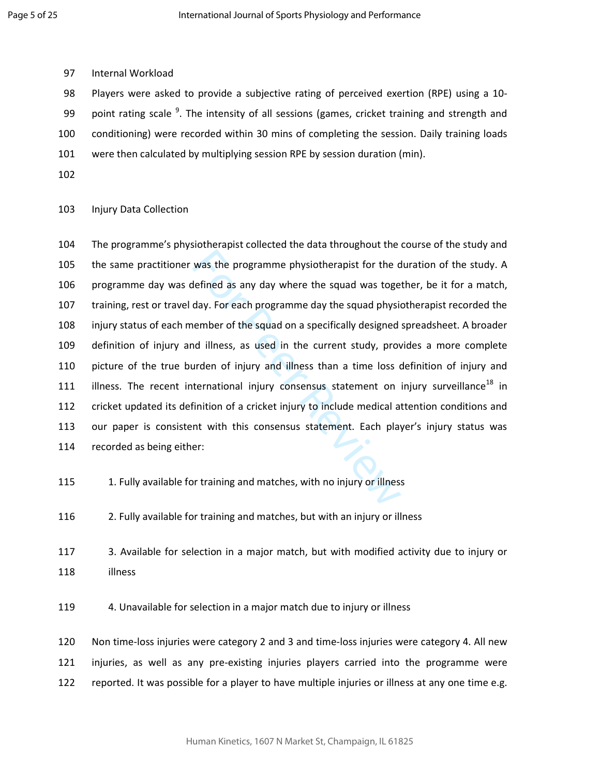97 Internal Workload

98 Players were asked to provide a subjective rating of perceived exertion (RPE) using a 10- 99 point rating scale <sup>9</sup>. The intensity of all sessions (games, cricket training and strength and 100 conditioning) were recorded within 30 mins of completing the session. Daily training loads 101 were then calculated by multiplying session RPE by session duration (min).

102

103 Injury Data Collection

was the programme physiotherapist for the d<br>defined as any day where the squad was toge<br>day. For each programme day the squad physion<br>nember of the squad on a specifically designed<br>nd illness, as used in the current study, 104 The programme's physiotherapist collected the data throughout the course of the study and 105 the same practitioner was the programme physiotherapist for the duration of the study. A 106 programme day was defined as any day where the squad was together, be it for a match, 107 training, rest or travel day. For each programme day the squad physiotherapist recorded the 108 injury status of each member of the squad on a specifically designed spreadsheet. A broader 109 definition of injury and illness, as used in the current study, provides a more complete 110 picture of the true burden of injury and illness than a time loss definition of injury and 111 illness. The recent international injury consensus statement on injury surveillance<sup>18</sup> in 112 cricket updated its definition of a cricket injury to include medical attention conditions and 113 our paper is consistent with this consensus statement. Each player's injury status was 114 recorded as being either:

- 115 1. Fully available for training and matches, with no injury or illness
- 116 2. Fully available for training and matches, but with an injury or illness
- 117 3. Available for selection in a major match, but with modified activity due to injury or 118 illness

119 4. Unavailable for selection in a major match due to injury or illness

120 Non time-loss injuries were category 2 and 3 and time-loss injuries were category 4. All new 121 injuries, as well as any pre-existing injuries players carried into the programme were 122 reported. It was possible for a player to have multiple injuries or illness at any one time e.g.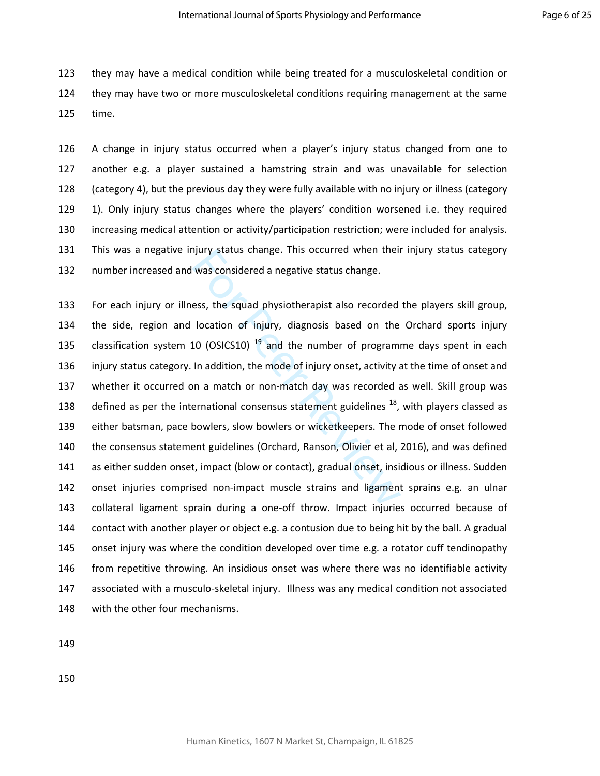123 they may have a medical condition while being treated for a musculoskeletal condition or 124 they may have two or more musculoskeletal conditions requiring management at the same 125 time.

126 A change in injury status occurred when a player's injury status changed from one to 127 another e.g. a player sustained a hamstring strain and was unavailable for selection 128 (category 4), but the previous day they were fully available with no injury or illness (category 129 1). Only injury status changes where the players' condition worsened i.e. they required 130 increasing medical attention or activity/participation restriction; were included for analysis. 131 This was a negative injury status change. This occurred when their injury status category 132 number increased and was considered a negative status change.

rijury status change. This occurred when their<br>was considered a negative status change.<br>ess, the squad physiotherapist also recorded<br>location of injury, diagnosis based on the<br>10 (OSICS10)  $^{19}$  and the number of program 133 For each injury or illness, the squad physiotherapist also recorded the players skill group, 134 the side, region and location of injury, diagnosis based on the Orchard sports injury 135 classification system 10 (OSICS10)<sup>19</sup> and the number of programme days spent in each 136 injury status category. In addition, the mode of injury onset, activity at the time of onset and 137 whether it occurred on a match or non-match day was recorded as well. Skill group was 138 defined as per the international consensus statement guidelines  $^{18}$ , with players classed as 139 either batsman, pace bowlers, slow bowlers or wicketkeepers. The mode of onset followed 140 the consensus statement guidelines (Orchard, Ranson, Olivier et al, 2016), and was defined 141 as either sudden onset, impact (blow or contact), gradual onset, insidious or illness. Sudden 142 onset injuries comprised non-impact muscle strains and ligament sprains e.g. an ulnar 143 collateral ligament sprain during a one-off throw. Impact injuries occurred because of 144 contact with another player or object e.g. a contusion due to being hit by the ball. A gradual 145 onset injury was where the condition developed over time e.g. a rotator cuff tendinopathy 146 from repetitive throwing. An insidious onset was where there was no identifiable activity 147 associated with a musculo-skeletal injury. Illness was any medical condition not associated 148 with the other four mechanisms.

149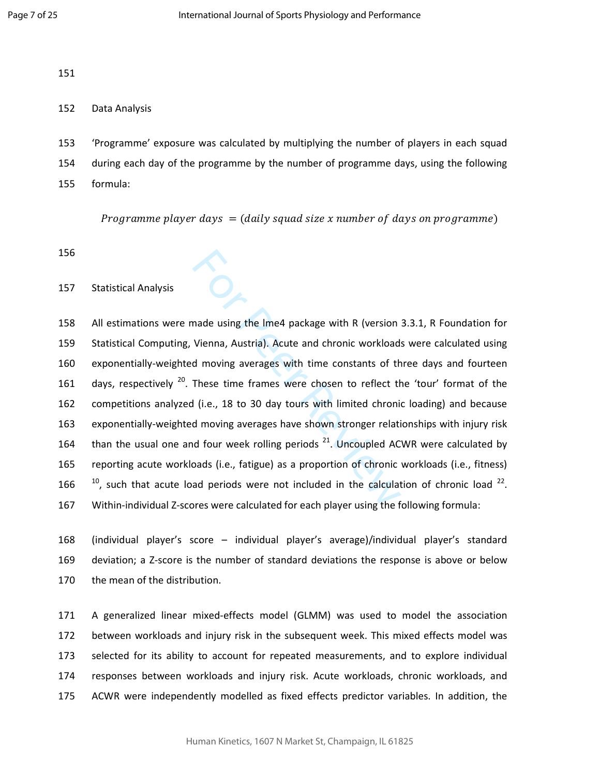151

### 152 Data Analysis

153 'Programme' exposure was calculated by multiplying the number of players in each squad 154 during each day of the programme by the number of programme days, using the following 155 formula:

Programme player days  $\,=\,($  daily squad size  $x$  number of days on programme)

- 156
- 157 Statistical Analysis

**Example 18 and 18 and 18 and 18 and 18 and 18 and 18 and 18 and 18 and 18 and 18 and 18 and 18 and 18 and 18 and 18 and 18 and 18 and 18 and 18 and 18 and 18 and 18 and 18 and 18 and 18 and 18 and 18 and 18 and 18 and 18** 158 All estimations were made using the lme4 package with R (version 3.3.1, R Foundation for 159 Statistical Computing, Vienna, Austria). Acute and chronic workloads were calculated using 160 exponentially-weighted moving averages with time constants of three days and fourteen 161 days, respectively  $^{20}$ . These time frames were chosen to reflect the 'tour' format of the 162 competitions analyzed (i.e., 18 to 30 day tours with limited chronic loading) and because 163 exponentially-weighted moving averages have shown stronger relationships with injury risk 164 than the usual one and four week rolling periods  $21$ . Uncoupled ACWR were calculated by 165 reporting acute workloads (i.e., fatigue) as a proportion of chronic workloads (i.e., fitness) 166  $^{\frac{10}{2}}$ , such that acute load periods were not included in the calculation of chronic load  $^{22}$ . 167 Within-individual Z-scores were calculated for each player using the following formula:

168 (individual player's score – individual player's average)/individual player's standard 169 deviation; a Z-score is the number of standard deviations the response is above or below 170 the mean of the distribution.

171 A generalized linear mixed-effects model (GLMM) was used to model the association 172 between workloads and injury risk in the subsequent week. This mixed effects model was 173 selected for its ability to account for repeated measurements, and to explore individual 174 responses between workloads and injury risk. Acute workloads, chronic workloads, and 175 ACWR were independently modelled as fixed effects predictor variables. In addition, the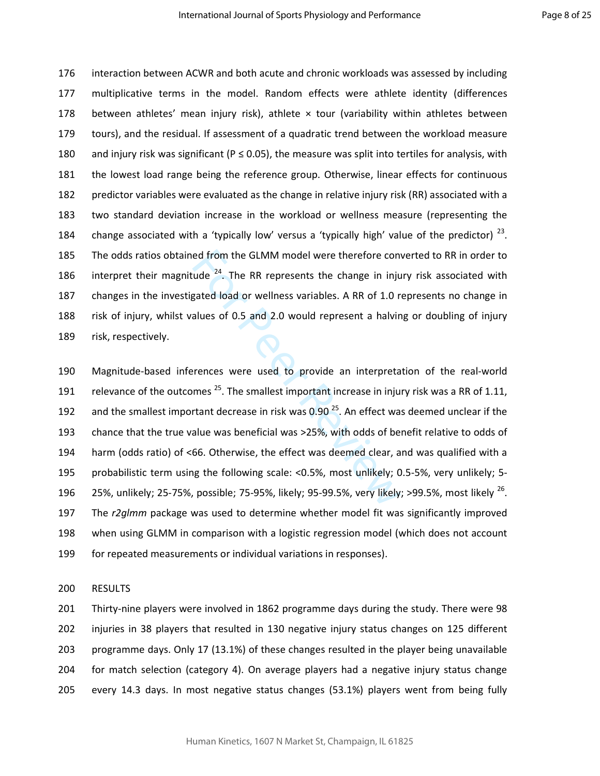176 interaction between ACWR and both acute and chronic workloads was assessed by including 177 multiplicative terms in the model. Random effects were athlete identity (differences 178 between athletes' mean injury risk), athlete  $\times$  tour (variability within athletes between 179 tours), and the residual. If assessment of a quadratic trend between the workload measure 180 and injury risk was significant ( $P \le 0.05$ ), the measure was split into tertiles for analysis, with 181 the lowest load range being the reference group. Otherwise, linear effects for continuous 182 predictor variables were evaluated as the change in relative injury risk (RR) associated with a 183 two standard deviation increase in the workload or wellness measure (representing the 184 change associated with a 'typically low' versus a 'typically high' value of the predictor)  $^{23}$ . 185 The odds ratios obtained from the GLMM model were therefore converted to RR in order to 186 interpret their magnitude  $24$ . The RR represents the change in injury risk associated with 187 changes in the investigated load or wellness variables. A RR of 1.0 represents no change in 188 risk of injury, whilst values of 0.5 and 2.0 would represent a halving or doubling of injury 189 risk, respectively.

ed from the GLMM model were therefore convude <sup>24</sup>. The RR represents the change in inju<br>gated load or wellness variables. A RR of 1.0 r<br>alues of 0.5 and 2.0 would represent a halvin<br>alues of 0.5 and 2.0 would represent a 190 Magnitude-based inferences were used to provide an interpretation of the real-world 191 relevance of the outcomes  $^{25}$ . The smallest important increase in injury risk was a RR of 1.11, 192 and the smallest important decrease in risk was  $0.90<sup>25</sup>$ . An effect was deemed unclear if the 193 chance that the true value was beneficial was >25%, with odds of benefit relative to odds of 194 harm (odds ratio) of <66. Otherwise, the effect was deemed clear, and was qualified with a 195 probabilistic term using the following scale: <0.5%, most unlikely; 0.5-5%, very unlikely; 5- 196 25%, unlikely; 25-75%, possible; 75-95%, likely; 95-99.5%, very likely; >99.5%, most likely  $^{26}$ . 197 The *r2glmm* package was used to determine whether model fit was significantly improved 198 when using GLMM in comparison with a logistic regression model (which does not account 199 for repeated measurements or individual variations in responses).

200 RESULTS

201 Thirty-nine players were involved in 1862 programme days during the study. There were 98 202 injuries in 38 players that resulted in 130 negative injury status changes on 125 different 203 programme days. Only 17 (13.1%) of these changes resulted in the player being unavailable 204 for match selection (category 4). On average players had a negative injury status change 205 every 14.3 days. In most negative status changes (53.1%) players went from being fully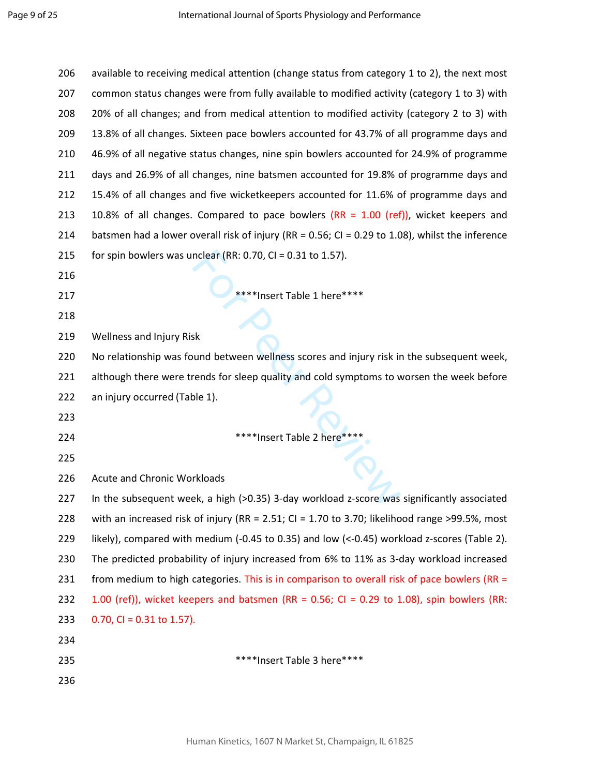| 206 | available to receiving medical attention (change status from category 1 to 2), the next most         |
|-----|------------------------------------------------------------------------------------------------------|
| 207 | common status changes were from fully available to modified activity (category 1 to 3) with          |
| 208 | 20% of all changes; and from medical attention to modified activity (category 2 to 3) with           |
| 209 | 13.8% of all changes. Sixteen pace bowlers accounted for 43.7% of all programme days and             |
| 210 | 46.9% of all negative status changes, nine spin bowlers accounted for 24.9% of programme             |
| 211 | days and 26.9% of all changes, nine batsmen accounted for 19.8% of programme days and                |
| 212 | 15.4% of all changes and five wicketkeepers accounted for 11.6% of programme days and                |
| 213 | 10.8% of all changes. Compared to pace bowlers $(RR = 1.00$ (ref)), wicket keepers and               |
| 214 | batsmen had a lower overall risk of injury (RR = $0.56$ ; CI = $0.29$ to 1.08), whilst the inference |
| 215 | for spin bowlers was unclear (RR: 0.70, CI = $0.31$ to 1.57).                                        |
| 216 |                                                                                                      |
| 217 | ****Insert Table 1 here****                                                                          |
| 218 |                                                                                                      |
| 219 | Wellness and Injury Risk                                                                             |
| 220 | No relationship was found between wellness scores and injury risk in the subsequent week,            |
| 221 | although there were trends for sleep quality and cold symptoms to worsen the week before             |
| 222 | an injury occurred (Table 1).                                                                        |
| 223 |                                                                                                      |
| 224 | ****Insert Table 2 here****                                                                          |
| 225 |                                                                                                      |
| 226 | <b>Acute and Chronic Workloads</b>                                                                   |
| 227 | In the subsequent week, a high (>0.35) 3-day workload z-score was significantly associated           |
| 228 | with an increased risk of injury (RR = 2.51; CI = 1.70 to 3.70; likelihood range >99.5%, most        |
| 229 | likely), compared with medium (-0.45 to 0.35) and low (<-0.45) workload z-scores (Table 2).          |
| 230 | The predicted probability of injury increased from 6% to 11% as 3-day workload increased             |
| 231 | from medium to high categories. This is in comparison to overall risk of pace bowlers (RR $=$        |
| 232 | 1.00 (ref)), wicket keepers and batsmen (RR = $0.56$ ; Cl = $0.29$ to 1.08), spin bowlers (RR:       |
| 233 | $0.70$ , CI = 0.31 to 1.57).                                                                         |
| 234 |                                                                                                      |
| 235 | ****Insert Table 3 here****                                                                          |
| 236 |                                                                                                      |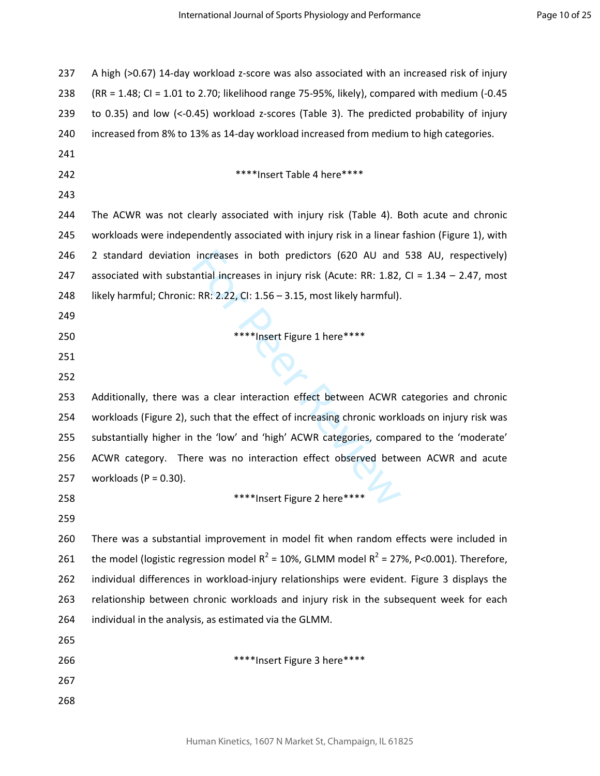| 237 | A high (>0.67) 14-day workload z-score was also associated with an increased risk of injury    |
|-----|------------------------------------------------------------------------------------------------|
| 238 | $(RR = 1.48; C = 1.01$ to 2.70; likelihood range 75-95%, likely), compared with medium (-0.45  |
| 239 | to 0.35) and low (<-0.45) workload z-scores (Table 3). The predicted probability of injury     |
| 240 | increased from 8% to 13% as 14-day workload increased from medium to high categories.          |
| 241 |                                                                                                |
| 242 | ****Insert Table 4 here****                                                                    |
| 243 |                                                                                                |
| 244 | The ACWR was not clearly associated with injury risk (Table 4). Both acute and chronic         |
| 245 | workloads were independently associated with injury risk in a linear fashion (Figure 1), with  |
| 246 | 2 standard deviation increases in both predictors (620 AU and 538 AU, respectively)            |
| 247 | associated with substantial increases in injury risk (Acute: RR: 1.82, CI = 1.34 - 2.47, most  |
| 248 | likely harmful; Chronic: RR: 2.22, CI: 1.56 - 3.15, most likely harmful).                      |
| 249 |                                                                                                |
| 250 | ****Insert Figure 1 here****                                                                   |
| 251 | $\boldsymbol{\mathsf{N}}_{\blacktriangle}$                                                     |
| 252 |                                                                                                |
| 253 | Additionally, there was a clear interaction effect between ACWR categories and chronic         |
| 254 | workloads (Figure 2), such that the effect of increasing chronic workloads on injury risk was  |
| 255 | substantially higher in the 'low' and 'high' ACWR categories, compared to the 'moderate'       |
| 256 | ACWR category. There was no interaction effect observed between ACWR and acute                 |
| 257 | workloads ( $P = 0.30$ ).                                                                      |
| 258 | ****Insert Figure 2 here****                                                                   |
| 259 |                                                                                                |
| 260 | There was a substantial improvement in model fit when random effects were included in          |
| 261 | the model (logistic regression model $R^2$ = 10%, GLMM model $R^2$ = 27%, P<0.001). Therefore, |
| 262 | individual differences in workload-injury relationships were evident. Figure 3 displays the    |
| 263 | relationship between chronic workloads and injury risk in the subsequent week for each         |
| 264 | individual in the analysis, as estimated via the GLMM.                                         |
| 265 |                                                                                                |
| 266 | ****Insert Figure 3 here****                                                                   |
| 267 |                                                                                                |
| 268 |                                                                                                |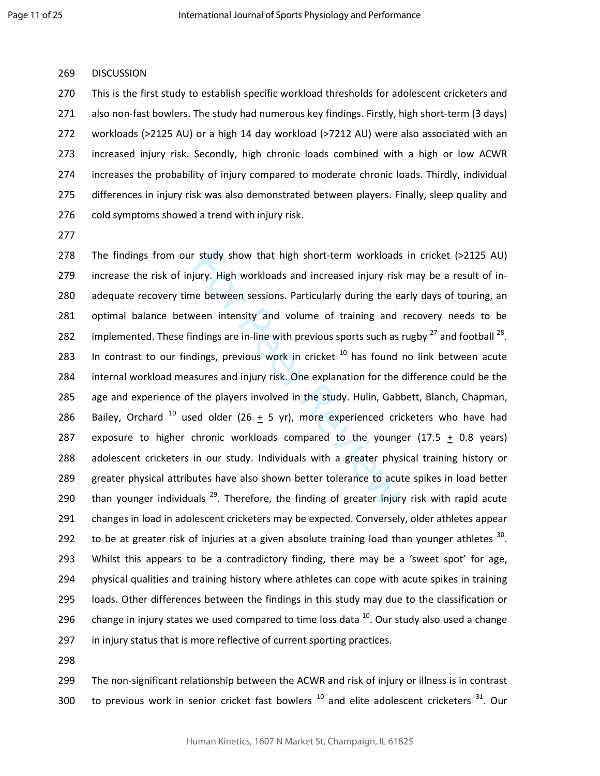#### 269 DISCUSSION

270 This is the first study to establish specific workload thresholds for adolescent cricketers and 271 also non-fast bowlers. The study had numerous key findings. Firstly, high short-term (3 days) 272 workloads (>2125 AU) or a high 14 day workload (>7212 AU) were also associated with an 273 increased injury risk. Secondly, high chronic loads combined with a high or low ACWR 274 increases the probability of injury compared to moderate chronic loads. Thirdly, individual 275 differences in injury risk was also demonstrated between players. Finally, sleep quality and 276 cold symptoms showed a trend with injury risk.

277

r study show that high short-term workloads<br>jury. High workloads and increased injury risk<br>ne between sessions. Particularly during the e:<br>veen intensity and volume of training and<br>ndings are in-line with previous sports 278 The findings from our study show that high short-term workloads in cricket (>2125 AU) 279 increase the risk of injury. High workloads and increased injury risk may be a result of in-280 adequate recovery time between sessions. Particularly during the early days of touring, an 281 optimal balance between intensity and volume of training and recovery needs to be 282 implemented. These findings are in-line with previous sports such as rugby  $^{27}$  and football  $^{28}$ . 283 In contrast to our findings, previous work in cricket  $10$  has found no link between acute 284 internal workload measures and injury risk. One explanation for the difference could be the 285 age and experience of the players involved in the study. Hulin, Gabbett, Blanch, Chapman, 286 Bailey, Orchard  $^{10}$  used older (26 + 5 yr), more experienced cricketers who have had 287 exposure to higher chronic workloads compared to the younger (17.5 + 0.8 years) 288 adolescent cricketers in our study. Individuals with a greater physical training history or 289 greater physical attributes have also shown better tolerance to acute spikes in load better 290 than younger individuals  $^{29}$ . Therefore, the finding of greater injury risk with rapid acute 291 changes in load in adolescent cricketers may be expected. Conversely, older athletes appear 292 to be at greater risk of injuries at a given absolute training load than younger athletes  $30$ . 293 Whilst this appears to be a contradictory finding, there may be a 'sweet spot' for age, 294 physical qualities and training history where athletes can cope with acute spikes in training 295 loads. Other differences between the findings in this study may due to the classification or 296 change in injury states we used compared to time loss data  $^{10}$ . Our study also used a change 297 in injury status that is more reflective of current sporting practices.

298

299 The non-significant relationship between the ACWR and risk of injury or illness is in contrast 300 to previous work in senior cricket fast bowlers  $^{10}$  and elite adolescent cricketers  $^{31}$ . Our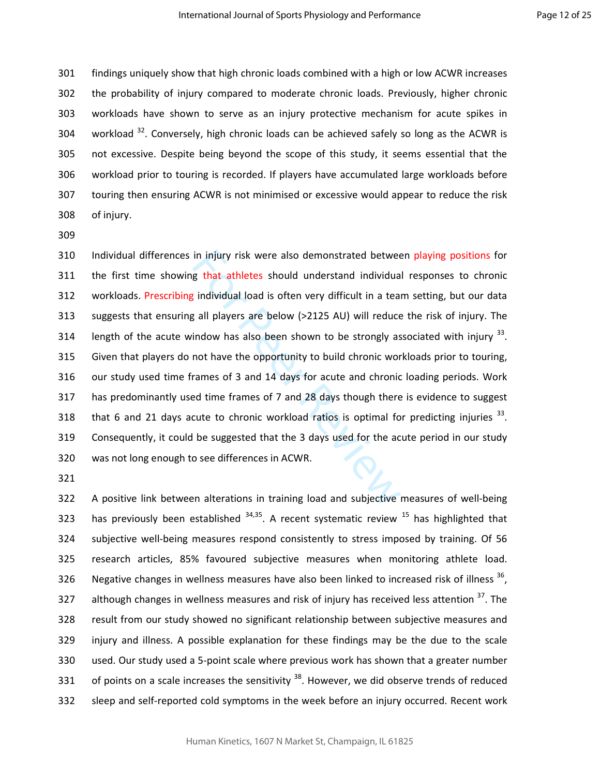301 findings uniquely show that high chronic loads combined with a high or low ACWR increases 302 the probability of injury compared to moderate chronic loads. Previously, higher chronic 303 workloads have shown to serve as an injury protective mechanism for acute spikes in 304 . workload  $32$ . Conversely, high chronic loads can be achieved safely so long as the ACWR is 305 not excessive. Despite being beyond the scope of this study, it seems essential that the 306 workload prior to touring is recorded. If players have accumulated large workloads before 307 touring then ensuring ACWR is not minimised or excessive would appear to reduce the risk 308 of injury.

309

in injury risk were also demonstrated betwee<br>g that athletes should understand individua<br>t individual load is often very difficult in a tear<br>g all players are below (>2125 AU) will reduce<br>indow has also been shown to be st 310 Individual differences in injury risk were also demonstrated between playing positions for 311 the first time showing that athletes should understand individual responses to chronic 312 workloads. Prescribing individual load is often very difficult in a team setting, but our data 313 suggests that ensuring all players are below (>2125 AU) will reduce the risk of injury. The 314 length of the acute window has also been shown to be strongly associated with injury  $^{33}$ . 315 Given that players do not have the opportunity to build chronic workloads prior to touring, 316 our study used time frames of 3 and 14 days for acute and chronic loading periods. Work 317 has predominantly used time frames of 7 and 28 days though there is evidence to suggest 318 that 6 and 21 days acute to chronic workload ratios is optimal for predicting injuries  $^{33}$ . 319 Consequently, it could be suggested that the 3 days used for the acute period in our study 320 was not long enough to see differences in ACWR.

321

322 A positive link between alterations in training load and subjective measures of well-being 323 has previously been established  $34,35$ . A recent systematic review  $15$  has highlighted that 324 subjective well-being measures respond consistently to stress imposed by training. Of 56 325 research articles, 85% favoured subjective measures when monitoring athlete load. 326 Negative changes in wellness measures have also been linked to increased risk of illness  $36$ . 327 although changes in wellness measures and risk of injury has received less attention  $37$ . The 328 result from our study showed no significant relationship between subjective measures and 329 injury and illness. A possible explanation for these findings may be the due to the scale 330 used. Our study used a 5-point scale where previous work has shown that a greater number 331 of points on a scale increases the sensitivity  $38$ . However, we did observe trends of reduced 332 sleep and self-reported cold symptoms in the week before an injury occurred. Recent work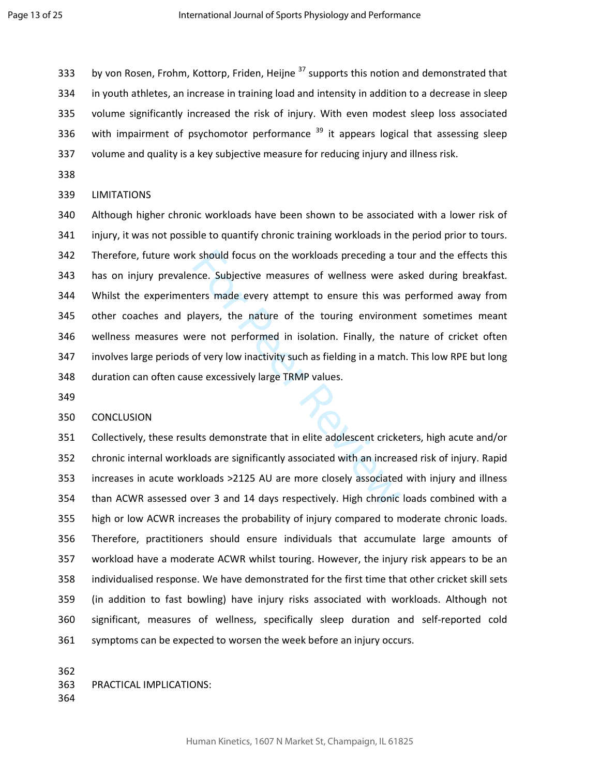333 by von Rosen, Frohm, Kottorp, Friden, Heijne  $37$  supports this notion and demonstrated that 334 in youth athletes, an increase in training load and intensity in addition to a decrease in sleep 335 volume significantly increased the risk of injury. With even modest sleep loss associated 336 with impairment of psychomotor performance  $39$  it appears logical that assessing sleep 337 volume and quality is a key subjective measure for reducing injury and illness risk.

338

### 339 LIMITATIONS

k should focus on the workloads preceding a to<br>nce. Subjective measures of wellness were a<br>ters made every attempt to ensure this was<br>layers, the nature of the touring environm<br>ere not performed in isolation. Finally, the 340 Although higher chronic workloads have been shown to be associated with a lower risk of 341 injury, it was not possible to quantify chronic training workloads in the period prior to tours. 342 Therefore, future work should focus on the workloads preceding a tour and the effects this 343 has on injury prevalence. Subjective measures of wellness were asked during breakfast. 344 Whilst the experimenters made every attempt to ensure this was performed away from 345 other coaches and players, the nature of the touring environment sometimes meant 346 wellness measures were not performed in isolation. Finally, the nature of cricket often 347 involves large periods of very low inactivity such as fielding in a match. This low RPE but long 348 duration can often cause excessively large TRMP values.

349

### 350 CONCLUSION

351 Collectively, these results demonstrate that in elite adolescent cricketers, high acute and/or 352 chronic internal workloads are significantly associated with an increased risk of injury. Rapid 353 increases in acute workloads >2125 AU are more closely associated with injury and illness 354 than ACWR assessed over 3 and 14 days respectively. High chronic loads combined with a 355 high or low ACWR increases the probability of injury compared to moderate chronic loads. 356 Therefore, practitioners should ensure individuals that accumulate large amounts of 357 workload have a moderate ACWR whilst touring. However, the injury risk appears to be an 358 individualised response. We have demonstrated for the first time that other cricket skill sets 359 (in addition to fast bowling) have injury risks associated with workloads. Although not 360 significant, measures of wellness, specifically sleep duration and self-reported cold 361 symptoms can be expected to worsen the week before an injury occurs.

362

363 PRACTICAL IMPLICATIONS: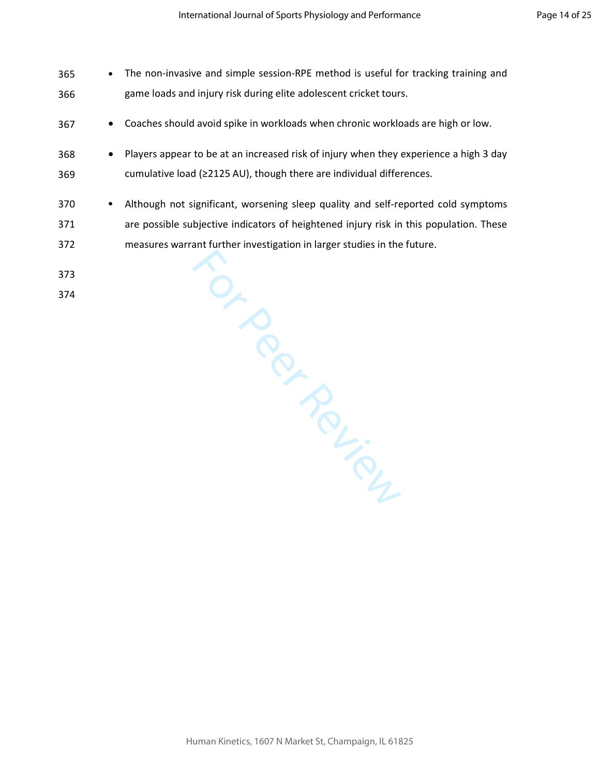- 365 The non-invasive and simple session-RPE method is useful for tracking training and 366 game loads and injury risk during elite adolescent cricket tours.
- 367 Coaches should avoid spike in workloads when chronic workloads are high or low.
- 368 Players appear to be at an increased risk of injury when they experience a high 3 day 369 cumulative load (≥2125 AU), though there are individual differences.
- For Inversion 370 • Although not significant, worsening sleep quality and self-reported cold symptoms 371 are possible subjective indicators of heightened injury risk in this population. These 372 measures warrant further investigation in larger studies in the future.
- 373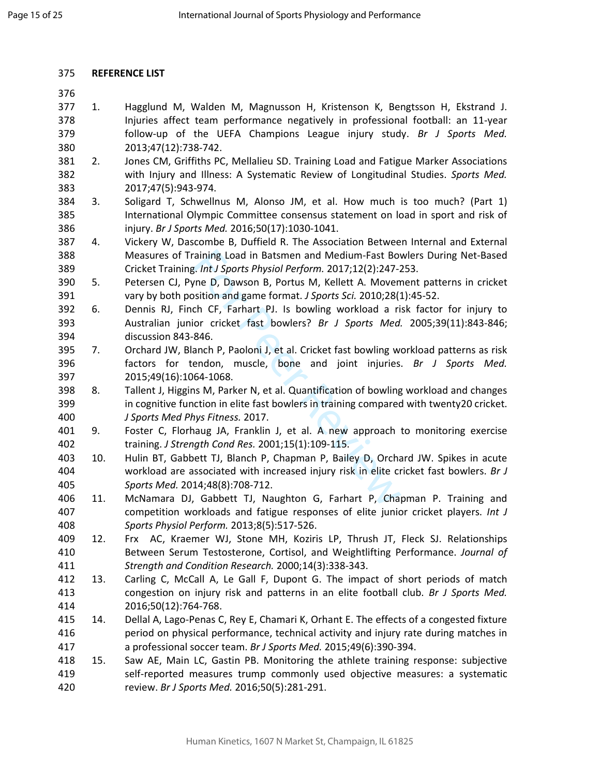### 375 **REFERENCE LIST**

- 377 1. Hagglund M, Walden M, Magnusson H, Kristenson K, Bengtsson H, Ekstrand J. 378 Injuries affect team performance negatively in professional football: an 11-year 379 follow-up of the UEFA Champions League injury study. *Br J Sports Med.*  380 2013;47(12):738-742.
- 381 2. Jones CM, Griffiths PC, Mellalieu SD. Training Load and Fatigue Marker Associations 382 with Injury and Illness: A Systematic Review of Longitudinal Studies. *Sports Med.*  383 2017;47(5):943-974.
- 384 3. Soligard T, Schwellnus M, Alonso JM, et al. How much is too much? (Part 1) 385 International Olympic Committee consensus statement on load in sport and risk of 386 injury. *Br J Sports Med.* 2016;50(17):1030-1041.
- 387 4. Vickery W, Dascombe B, Duffield R. The Association Between Internal and External 388 Measures of Training Load in Batsmen and Medium-Fast Bowlers During Net-Based 389 Cricket Training. *Int J Sports Physiol Perform.* 2017;12(2):247-253.
- 390 5. Petersen CJ, Pyne D, Dawson B, Portus M, Kellett A. Movement patterns in cricket 391 vary by both position and game format. *J Sports Sci.* 2010;28(1):45-52.
- 392 6. Dennis RJ, Finch CF, Farhart PJ. Is bowling workload a risk factor for injury to 393 Australian junior cricket fast bowlers? *Br J Sports Med.* 2005;39(11):843-846; 394 discussion 843-846.
- 395 7. Orchard JW, Blanch P, Paoloni J, et al. Cricket fast bowling workload patterns as risk 396 factors for tendon, muscle, bone and joint injuries. *Br J Sports Med.*  397 2015;49(16):1064-1068.
- raining Load in Batsmen and Medium-Fast Bov<br>
5. *Int J Sports Physiol Perform*. 2017;12(2):247-2<br>
rne D, Dawson B, Portus M, Kellett A. Movem<br>
solition and game format. *J Sports Sci.* 2010;28(1<br>
ch CF, Farhart PJ. Is bowl 398 8. Tallent J, Higgins M, Parker N, et al. Quantification of bowling workload and changes 399 in cognitive function in elite fast bowlers in training compared with twenty20 cricket. 400 *J Sports Med Phys Fitness.* 2017.
- 401 9. Foster C, Florhaug JA, Franklin J, et al. A new approach to monitoring exercise 402 training. *J Strength Cond Res.* 2001;15(1):109-115.
- 403 10. Hulin BT, Gabbett TJ, Blanch P, Chapman P, Bailey D, Orchard JW. Spikes in acute 404 workload are associated with increased injury risk in elite cricket fast bowlers. *Br J*  405 *Sports Med.* 2014;48(8):708-712.
- 406 11. McNamara DJ, Gabbett TJ, Naughton G, Farhart P, Chapman P. Training and 407 competition workloads and fatigue responses of elite junior cricket players. *Int J*  408 *Sports Physiol Perform.* 2013;8(5):517-526.
- 409 12. Frx AC, Kraemer WJ, Stone MH, Koziris LP, Thrush JT, Fleck SJ. Relationships 410 Between Serum Testosterone, Cortisol, and Weightlifting Performance. *Journal of*  411 *Strength and Condition Research.* 2000;14(3):338-343.
- 412 13. Carling C, McCall A, Le Gall F, Dupont G. The impact of short periods of match 413 congestion on injury risk and patterns in an elite football club. *Br J Sports Med.*  414 2016;50(12):764-768.
- 415 14. Dellal A, Lago-Penas C, Rey E, Chamari K, Orhant E. The effects of a congested fixture 416 period on physical performance, technical activity and injury rate during matches in 417 a professional soccer team. *Br J Sports Med.* 2015;49(6):390-394.
- 418 15. Saw AE, Main LC, Gastin PB. Monitoring the athlete training response: subjective 419 self-reported measures trump commonly used objective measures: a systematic 420 review. *Br J Sports Med.* 2016;50(5):281-291.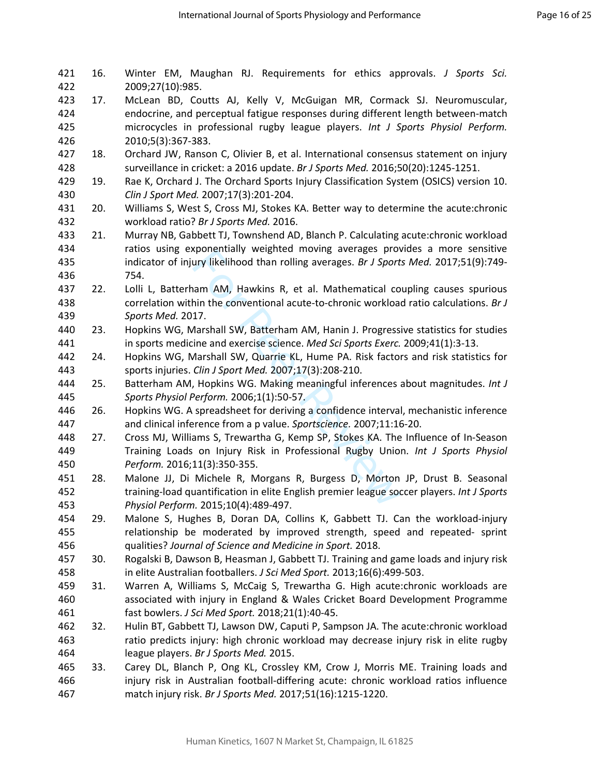| 421<br>422 | 16. | Winter EM, Maughan RJ. Requirements for ethics approvals. J Sports Sci.<br>2009;27(10):985.                                                                              |
|------------|-----|--------------------------------------------------------------------------------------------------------------------------------------------------------------------------|
| 423        | 17. | McLean BD, Coutts AJ, Kelly V, McGuigan MR, Cormack SJ. Neuromuscular,                                                                                                   |
| 424        |     | endocrine, and perceptual fatigue responses during different length between-match                                                                                        |
| 425        |     | microcycles in professional rugby league players. Int J Sports Physiol Perform.                                                                                          |
| 426        |     | 2010;5(3):367-383.                                                                                                                                                       |
| 427        | 18. | Orchard JW, Ranson C, Olivier B, et al. International consensus statement on injury                                                                                      |
| 428        |     | surveillance in cricket: a 2016 update. Br J Sports Med. 2016;50(20):1245-1251.                                                                                          |
| 429        | 19. | Rae K, Orchard J. The Orchard Sports Injury Classification System (OSICS) version 10.                                                                                    |
| 430        |     | Clin J Sport Med. 2007;17(3):201-204.                                                                                                                                    |
| 431        | 20. | Williams S, West S, Cross MJ, Stokes KA. Better way to determine the acute:chronic                                                                                       |
| 432        |     | workload ratio? Br J Sports Med. 2016.                                                                                                                                   |
| 433        | 21. | Murray NB, Gabbett TJ, Townshend AD, Blanch P. Calculating acute: chronic workload                                                                                       |
| 434        |     | ratios using exponentially weighted moving averages provides a more sensitive                                                                                            |
| 435        |     | indicator of injury likelihood than rolling averages. Br J Sports Med. 2017;51(9):749-                                                                                   |
| 436        |     | 754.                                                                                                                                                                     |
| 437        | 22. | Lolli L, Batterham AM, Hawkins R, et al. Mathematical coupling causes spurious                                                                                           |
| 438        |     | correlation within the conventional acute-to-chronic workload ratio calculations. Br J                                                                                   |
| 439        |     | Sports Med. 2017.                                                                                                                                                        |
| 440        | 23. | Hopkins WG, Marshall SW, Batterham AM, Hanin J. Progressive statistics for studies                                                                                       |
| 441        |     | in sports medicine and exercise science. Med Sci Sports Exerc. 2009;41(1):3-13.                                                                                          |
| 442        | 24. | Hopkins WG, Marshall SW, Quarrie KL, Hume PA. Risk factors and risk statistics for                                                                                       |
| 443        |     | sports injuries. Clin J Sport Med. 2007;17(3):208-210.                                                                                                                   |
| 444        | 25. | Batterham AM, Hopkins WG. Making meaningful inferences about magnitudes. Int J                                                                                           |
| 445        |     | Sports Physiol Perform. 2006;1(1):50-57.                                                                                                                                 |
| 446        | 26. | Hopkins WG. A spreadsheet for deriving a confidence interval, mechanistic inference                                                                                      |
| 447        |     | and clinical inference from a p value. Sportscience. 2007;11:16-20.                                                                                                      |
| 448        | 27. | Cross MJ, Williams S, Trewartha G, Kemp SP, Stokes KA. The Influence of In-Season                                                                                        |
| 449        |     | Training Loads on Injury Risk in Professional Rugby Union. Int J Sports Physiol                                                                                          |
| 450        |     | Perform. 2016;11(3):350-355.                                                                                                                                             |
| 451<br>452 | 28. | Malone JJ, Di Michele R, Morgans R, Burgess D, Morton JP, Drust B. Seasonal<br>training-load quantification in elite English premier league soccer players. Int J Sports |
| 453        |     | Physiol Perform. 2015;10(4):489-497.                                                                                                                                     |
| 454        | 29. | Malone S, Hughes B, Doran DA, Collins K, Gabbett TJ. Can the workload-injury                                                                                             |
| 455        |     | relationship be moderated by improved strength, speed and repeated- sprint                                                                                               |
| 456        |     | qualities? Journal of Science and Medicine in Sport. 2018.                                                                                                               |
| 457        | 30. | Rogalski B, Dawson B, Heasman J, Gabbett TJ. Training and game loads and injury risk                                                                                     |
| 458        |     | in elite Australian footballers. J Sci Med Sport. 2013;16(6):499-503.                                                                                                    |
| 459        | 31. | Warren A, Williams S, McCaig S, Trewartha G. High acute: chronic workloads are                                                                                           |
| 460        |     | associated with injury in England & Wales Cricket Board Development Programme                                                                                            |
| 461        |     | fast bowlers. J Sci Med Sport. 2018;21(1):40-45.                                                                                                                         |
| 462        | 32. | Hulin BT, Gabbett TJ, Lawson DW, Caputi P, Sampson JA. The acute: chronic workload                                                                                       |
| 463        |     | ratio predicts injury: high chronic workload may decrease injury risk in elite rugby                                                                                     |
| 464        |     | league players. Br J Sports Med. 2015.                                                                                                                                   |
| 465        | 33. | Carey DL, Blanch P, Ong KL, Crossley KM, Crow J, Morris ME. Training loads and                                                                                           |
| 466        |     | injury risk in Australian football-differing acute: chronic workload ratios influence                                                                                    |
| 467        |     | match injury risk. Br J Sports Med. 2017;51(16):1215-1220.                                                                                                               |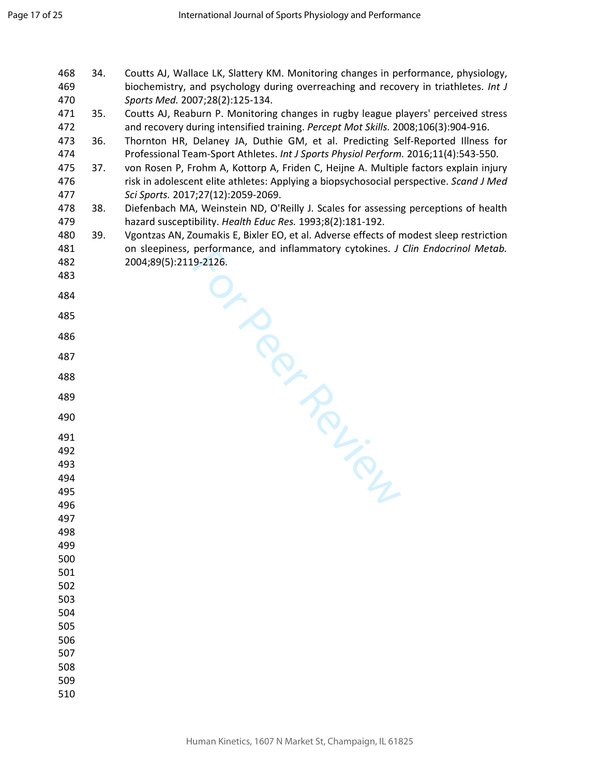For Contraction 468 34. Coutts AJ, Wallace LK, Slattery KM. Monitoring changes in performance, physiology, 469 biochemistry, and psychology during overreaching and recovery in triathletes. *Int J Sports Med.* 2007;28(2):125-134. 471 35. Coutts AJ, Reaburn P. Monitoring changes in rugby league players' perceived stress 472 and recovery during intensified training. *Percept Mot Skills.* 2008;106(3):904-916. 473 36. Thornton HR, Delaney JA, Duthie GM, et al. Predicting Self-Reported Illness for 474 Professional Team-Sport Athletes. *Int J Sports Physiol Perform.* 2016;11(4):543-550. 475 37. von Rosen P, Frohm A, Kottorp A, Friden C, Heijne A. Multiple factors explain injury 476 risk in adolescent elite athletes: Applying a biopsychosocial perspective. *Scand J Med Sci Sports.* 2017;27(12):2059-2069. 478 38. Diefenbach MA, Weinstein ND, O'Reilly J. Scales for assessing perceptions of health 479 hazard susceptibility. *Health Educ Res.* 1993;8(2):181-192. 480 39. Vgontzas AN, Zoumakis E, Bixler EO, et al. Adverse effects of modest sleep restriction 481 on sleepiness, performance, and inflammatory cytokines. *J Clin Endocrinol Metab.*  482 2004;89(5):2119-2126.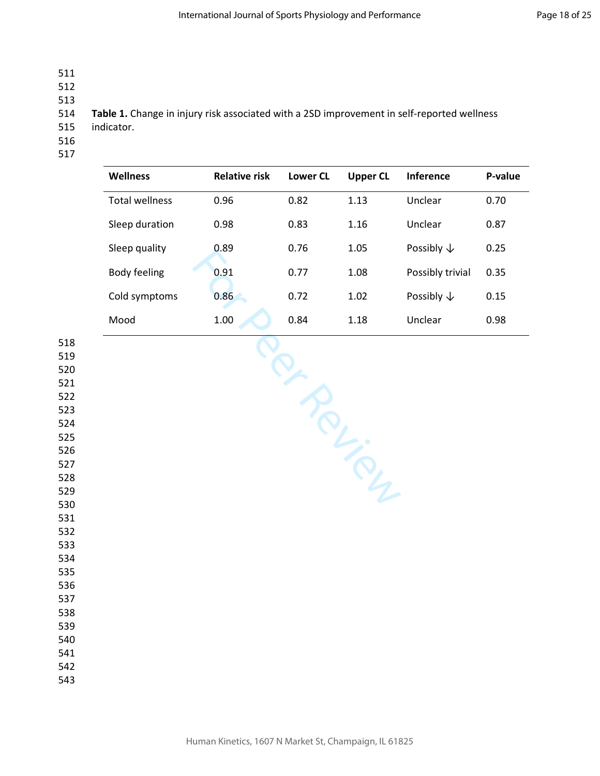- 
- 
- 
- 

**Table 1.** Change in injury risk associated with a 2SD improvement in self-reported wellness

- 515 indicator.
- 
- 

| <b>Wellness</b>       | <b>Relative risk</b> | <b>Lower CL</b> | <b>Upper CL</b> | <b>Inference</b>      | P-value |
|-----------------------|----------------------|-----------------|-----------------|-----------------------|---------|
| <b>Total wellness</b> | 0.96                 | 0.82            | 1.13            | Unclear               | 0.70    |
| Sleep duration        | 0.98                 | 0.83            | 1.16            | Unclear               | 0.87    |
| Sleep quality         | 0.89                 | 0.76            | 1.05            | Possibly $\downarrow$ | 0.25    |
| Body feeling          | 0.91                 | 0.77            | 1.08            | Possibly trivial      | 0.35    |
| Cold symptoms         | 0.86                 | 0.72            | 1.02            | Possibly $\downarrow$ | 0.15    |
| Mood                  | 1.00                 | 0.84            | 1.18            | Unclear               | 0.98    |

Per Person

Human Kinetics, 1607 N Market St, Champaign, IL 61825

| --- |  |
|-----|--|
| 519 |  |
| 520 |  |
| 521 |  |
| 522 |  |
| 523 |  |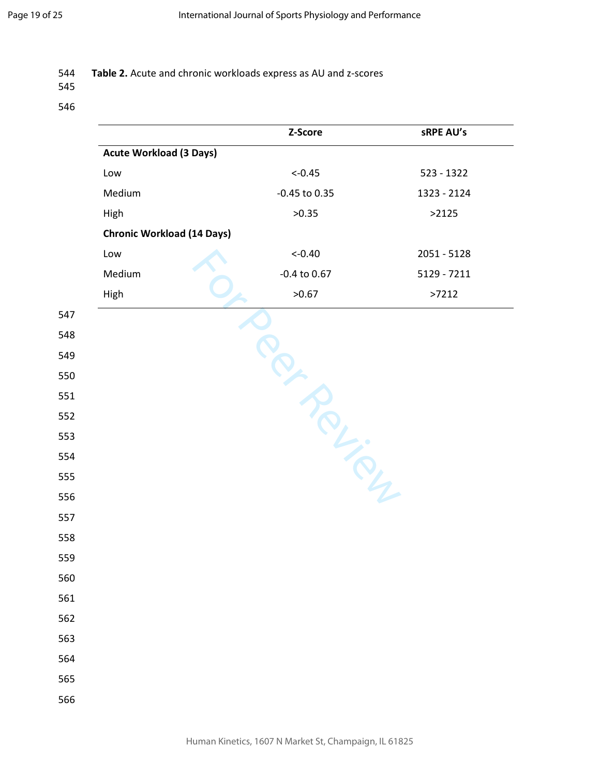## **Table 2.** Acute and chronic workloads express as AU and z-scores

|                                   | Z-Score          | sRPE AU's   |
|-----------------------------------|------------------|-------------|
| <b>Acute Workload (3 Days)</b>    |                  |             |
| Low                               | $<-0.45$         | 523 - 1322  |
| Medium                            | -0.45 to 0.35    | 1323 - 2124 |
| High                              | >0.35            | >2125       |
| <b>Chronic Workload (14 Days)</b> |                  |             |
| Low                               | $<-0.40$         | 2051 - 5128 |
| Medium                            | $-0.4$ to $0.67$ | 5129 - 7211 |
| High                              | >0.67            | >7212       |
|                                   |                  |             |
|                                   |                  |             |
|                                   |                  |             |
|                                   |                  |             |
|                                   |                  |             |
|                                   |                  |             |
|                                   |                  |             |
|                                   |                  |             |
|                                   |                  |             |
|                                   |                  |             |
|                                   |                  |             |
|                                   |                  |             |
|                                   |                  |             |
|                                   |                  |             |
|                                   |                  |             |
|                                   |                  |             |
|                                   |                  |             |
|                                   |                  |             |
|                                   |                  |             |
|                                   |                  |             |
|                                   |                  |             |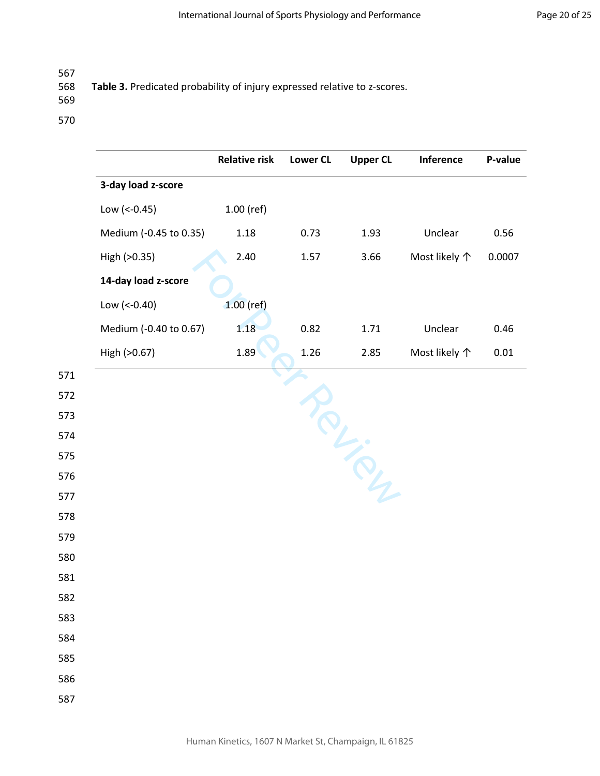## **Table 3.** Predicated probability of injury expressed relative to z-scores.

|                        | <b>Relative risk</b> | <b>Lower CL</b> | <b>Upper CL</b> | Inference     | P-value |
|------------------------|----------------------|-----------------|-----------------|---------------|---------|
| 3-day load z-score     |                      |                 |                 |               |         |
| Low $(< -0.45)$        | 1.00 (ref)           |                 |                 |               |         |
| Medium (-0.45 to 0.35) | 1.18                 | 0.73            | 1.93            | Unclear       | 0.56    |
| High (>0.35)           | 2.40                 | 1.57            | 3.66            | Most likely 个 | 0.0007  |
| 14-day load z-score    |                      |                 |                 |               |         |
| Low (<-0.40)           | $1.00$ (ref)         |                 |                 |               |         |
| Medium (-0.40 to 0.67) | 1.18                 | 0.82            | 1.71            | Unclear       | 0.46    |
| High (>0.67)           | 1.89                 | 1.26            | 2.85            | Most likely 个 | 0.01    |
|                        |                      |                 |                 |               |         |
|                        |                      |                 |                 |               |         |
|                        |                      |                 |                 |               |         |
|                        |                      |                 |                 |               |         |
|                        |                      |                 |                 |               |         |
|                        |                      |                 |                 |               |         |
|                        |                      |                 |                 |               |         |
|                        |                      |                 |                 |               |         |
|                        |                      |                 |                 |               |         |
|                        |                      |                 |                 |               |         |
|                        |                      |                 |                 |               |         |
|                        |                      |                 |                 |               |         |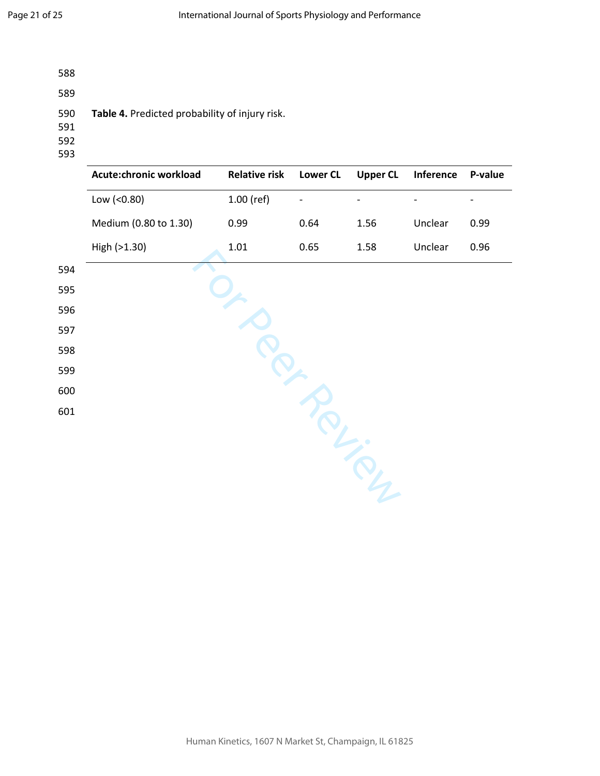- 588
- 589
- 590 **Table 4.** Predicted probability of injury risk.
- 591
- 592
- 593

|     | Acute:chronic workload | <b>Relative risk</b> | <b>Lower CL</b> | <b>Upper CL</b> | Inference | P-value |
|-----|------------------------|----------------------|-----------------|-----------------|-----------|---------|
|     | Low (<0.80)            | $1.00$ (ref)         |                 |                 |           |         |
|     | Medium (0.80 to 1.30)  | 0.99                 | 0.64            | 1.56            | Unclear   | 0.99    |
|     | High (>1.30)           | $1.01\,$             | 0.65            | 1.58            | Unclear   | 0.96    |
| 594 |                        |                      |                 |                 |           |         |
| 595 |                        |                      |                 |                 |           |         |
| 596 |                        |                      |                 |                 |           |         |
| 597 |                        |                      |                 |                 |           |         |
| 598 |                        |                      |                 |                 |           |         |
| 599 |                        |                      |                 |                 |           |         |
| 600 |                        |                      |                 |                 |           |         |
| 601 |                        |                      |                 |                 |           |         |
|     |                        |                      |                 |                 |           |         |
|     |                        |                      |                 |                 |           |         |
|     |                        |                      |                 |                 |           |         |
|     |                        |                      |                 |                 |           |         |
|     |                        |                      |                 |                 |           |         |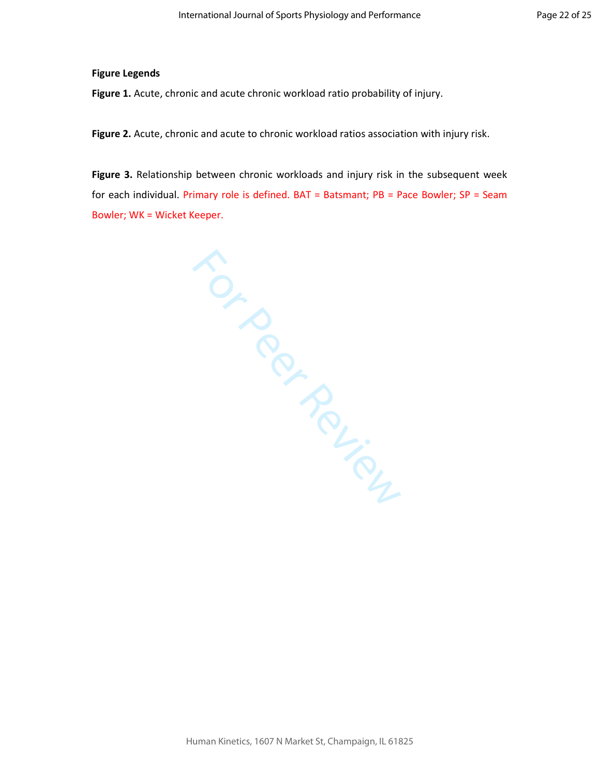### **Figure Legends**

**Figure 1.** Acute, chronic and acute chronic workload ratio probability of injury.

**Figure 2.** Acute, chronic and acute to chronic workload ratios association with injury risk.

**Figure 3.** Relationship between chronic workloads and injury risk in the subsequent week for each individual. Primary role is defined. BAT = Batsmant; PB = Pace Bowler; SP = Seam Bowler; WK = Wicket Keeper.

MERCY ROLL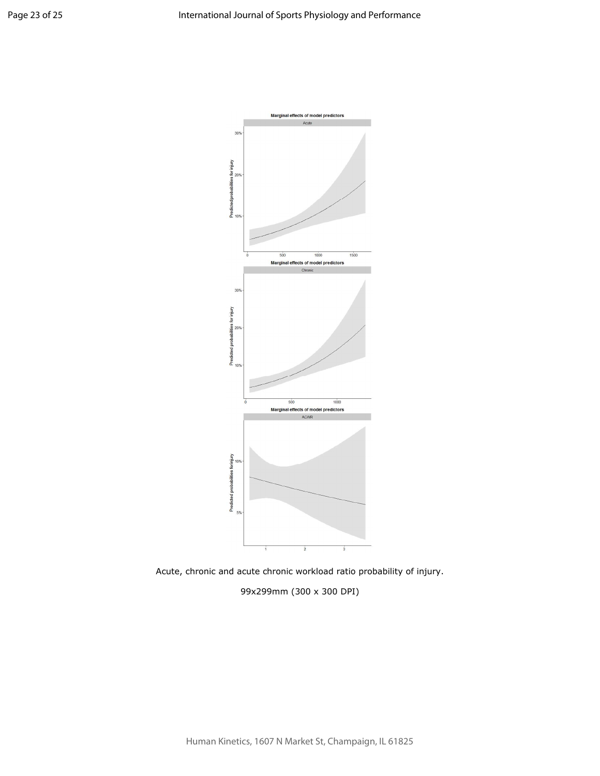



99x299mm (300 x 300 DPI)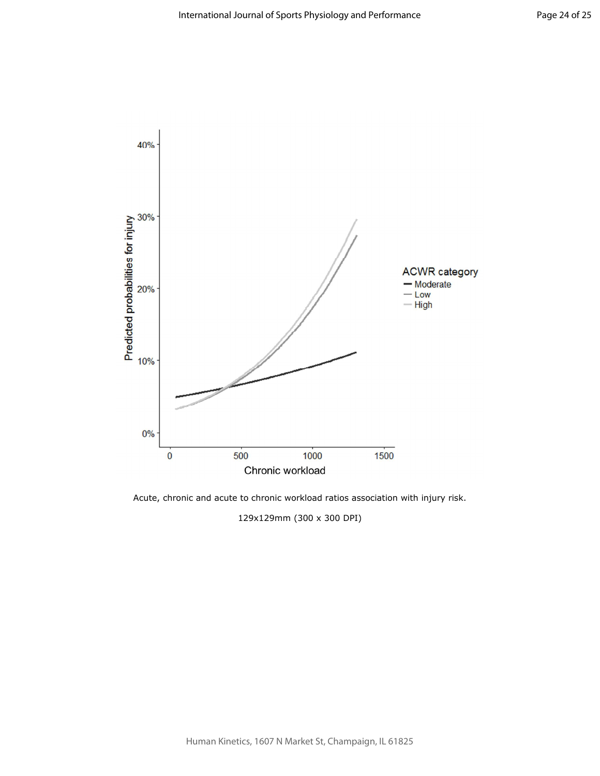

Acute, chronic and acute to chronic workload ratios association with injury risk.

129x129mm (300 x 300 DPI)